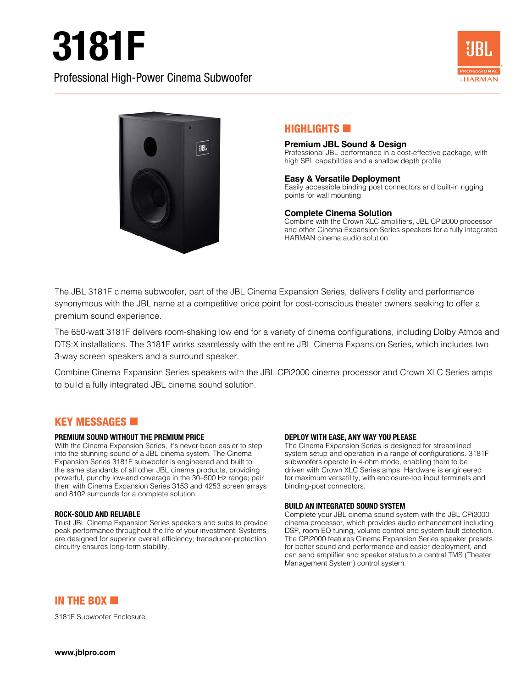# 3181F





# $H$ IGHLIGHTS

#### **Premium JBL Sound & Design**

Professional JBL performance in a cost-effective package, with high SPL capabilities and a shallow depth profile

#### **Easy & Versatile Deployment**

Easily accessible binding post connectors and built-in rigging points for wall mounting

#### **Complete Cinema Solution**

Combine with the Crown XLC amplifiers, JBL CPi2000 processor and other Cinema Expansion Series speakers for a fully integrated HARMAN cinema audio solution

The JBL 3181F cinema subwoofer, part of the JBL Cinema Expansion Series, delivers fidelity and performance synonymous with the JBL name at a competitive price point for cost-conscious theater owners seeking to offer a premium sound experience.

The 650-watt 3181F delivers room-shaking low end for a variety of cinema configurations, including Dolby Atmos and DTS:X installations. The 3181F works seamlessly with the entire JBL Cinema Expansion Series, which includes two 3-way screen speakers and a surround speaker.

Combine Cinema Expansion Series speakers with the JBL CPi2000 cinema processor and Crown XLC Series amps to build a fully integrated JBL cinema sound solution.

### **KEY MESSAGES <b>6**

#### **PREMIUM SOUND WITHOUT THE PREMIUM PRICE**

With the Cinema Expansion Series, it's never been easier to step into the stunning sound of a JBL cinema system. The Cinema Expansion Series 3181F subwoofer is engineered and built to the same standards of all other JBL cinema products, providing powerful, punchy low-end coverage in the 30–500 Hz range; pair them with Cinema Expansion Series 3153 and 4253 screen arrays and 8102 surrounds for a complete solution.

#### **ROCK-SOLID AND RELIABLE**

Trust JBL Cinema Expansion Series speakers and subs to provide peak performance throughout the life of your investment: Systems are designed for superior overall efficiency; transducer-protection circuitry ensures long-term stability.

#### **DEPLOY WITH EASE, ANY WAY YOU PLEASE**

The Cinema Expansion Series is designed for streamlined system setup and operation in a range of configurations. 3181F subwoofers operate in 4-ohm mode, enabling them to be driven with Crown XLC Series amps. Hardware is engineered for maximum versatility, with enclosure-top input terminals and binding-post connectors.

#### **BUILD AN INTEGRATED SOUND SYSTEM**

Complete your JBL cinema sound system with the JBL CPi2000 cinema processor, which provides audio enhancement including DSP, room EQ tuning, volume control and system fault detection. The CPi2000 features Cinema Expansion Series speaker presets for better sound and performance and easier deployment, and can send amplifier and speaker status to a central TMS (Theater Management System) control system.



3181F Subwoofer Enclosure